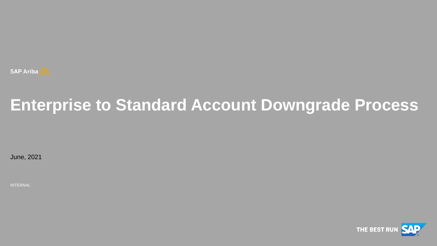

# **Enterprise to Standard Account Downgrade Process**

June, 2021

INTERNAL

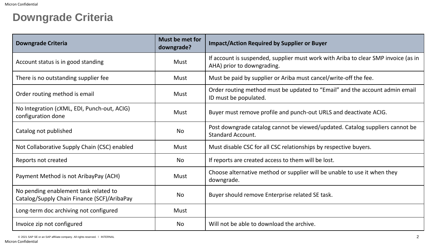## **Downgrade Criteria**

| Downgrade Criteria                                                                   | Must be met for<br>downgrade? | <b>Impact/Action Required by Supplier or Buyer</b>                                                               |
|--------------------------------------------------------------------------------------|-------------------------------|------------------------------------------------------------------------------------------------------------------|
| Account status is in good standing                                                   | <b>Must</b>                   | If account is suspended, supplier must work with Ariba to clear SMP invoice (as in<br>AHA) prior to downgrading. |
| There is no outstanding supplier fee                                                 | <b>Must</b>                   | Must be paid by supplier or Ariba must cancel/write-off the fee.                                                 |
| Order routing method is email                                                        | <b>Must</b>                   | Order routing method must be updated to "Email" and the account admin email<br>ID must be populated.             |
| No Integration (cXML, EDI, Punch-out, ACIG)<br>configuration done                    | <b>Must</b>                   | Buyer must remove profile and punch-out URLS and deactivate ACIG.                                                |
| Catalog not published                                                                | <b>No</b>                     | Post downgrade catalog cannot be viewed/updated. Catalog suppliers cannot be<br><b>Standard Account.</b>         |
| Not Collaborative Supply Chain (CSC) enabled                                         | <b>Must</b>                   | Must disable CSC for all CSC relationships by respective buyers.                                                 |
| Reports not created                                                                  | <b>No</b>                     | If reports are created access to them will be lost.                                                              |
| Payment Method is not AribayPay (ACH)                                                | <b>Must</b>                   | Choose alternative method or supplier will be unable to use it when they<br>downgrade.                           |
| No pending enablement task related to<br>Catalog/Supply Chain Finance (SCF)/AribaPay | <b>No</b>                     | Buyer should remove Enterprise related SE task.                                                                  |
| Long-term doc archiving not configured                                               | <b>Must</b>                   |                                                                                                                  |
| Invoice zip not configured                                                           | <b>No</b>                     | Will not be able to download the archive.                                                                        |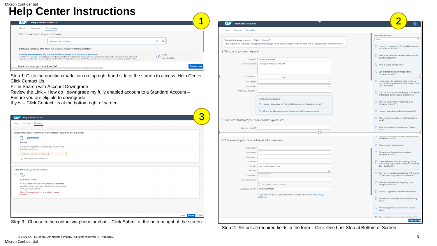#### Micron Confidential **Help Center Instructions**

| SAP<br><b>Help Center Contact us</b>                                                                                                                                                                                                                                                                                            | <b>SAP</b> Help Center Contact us                                                                                                                                                                  | ◠                                                                                                                                  |
|---------------------------------------------------------------------------------------------------------------------------------------------------------------------------------------------------------------------------------------------------------------------------------------------------------------------------------|----------------------------------------------------------------------------------------------------------------------------------------------------------------------------------------------------|------------------------------------------------------------------------------------------------------------------------------------|
| Contact us<br>Home<br>Learning                                                                                                                                                                                                                                                                                                  |                                                                                                                                                                                                    |                                                                                                                                    |
| Start here to find your answer.                                                                                                                                                                                                                                                                                                 | Home Learning Contact us                                                                                                                                                                           | Recommendations*                                                                                                                   |
| $x \alpha$<br>account downgrade                                                                                                                                                                                                                                                                                                 | Requested language of support: English Change?<br>Note: If agents are unavailable to support in the language you've chosen, support will be provided with the assistance of a translation service. | Search                                                                                                                             |
| Browse below for our AI-based recommendations*                                                                                                                                                                                                                                                                                  | 1. Tell us what you need help with.                                                                                                                                                                | (?) How do I downgrade my fully enabled account<br>to a Standard account?                                                          |
| How do I downgrade my fully enabled account to a Standard account?<br>FAQ<br>2 Apr 9, 2021<br>Question How do I downgrade my fully enabled Enterprise account to a Standard account? Answer Your account<br>may be eligible for a downgrade if the following criteria are met: You must not have any outstanding supplier fees. | Subject:* account downgrade                                                                                                                                                                        | (?) What is the difference between Enterprise and<br>Standard accounts?                                                            |
| Can't find what you're looking for?<br><b>Contact us</b><br>ABUSINESS CONTINUES APPROVAL                                                                                                                                                                                                                                        | Full description:*   Downgrade Enterprise Account                                                                                                                                                  | (?) What is a valid billing dispute?                                                                                               |
| Step 1: Click the question mark icon on top right hand side of the screen to access Help Center                                                                                                                                                                                                                                 | $\boxed{\mathbb{I}}$<br>Attachment:                                                                                                                                                                | (?) Can a standard account merge with an<br>enterprise account?                                                                    |
| <b>Click Contact Us</b><br>Fill in Search with Account Downgrade                                                                                                                                                                                                                                                                | Issue type:<br>Issue area:*                                                                                                                                                                        | ? I have received a notification stating that my<br>supplier has upgraded to an Enterprise account<br>Can I disable this?          |
| Review the Link - How do I downgrade my fully enabled account to a Standard Account -<br>Ensure you are eligible to downgrade                                                                                                                                                                                                   | PO/Invoice Number                                                                                                                                                                                  | 2 Can I set my supplier account type (if Enterprise<br>or Standard) during supplier enablement?                                    |
| If yes - Click Contact Us at the bottom right of screen                                                                                                                                                                                                                                                                         | <b>Top Recommendations:</b><br>(?) How do I downgrade my fully enabled account to a Standard account?                                                                                              | (?) What are the benefits of upgrading to an<br>Enterprise account?                                                                |
|                                                                                                                                                                                                                                                                                                                                 | <sup>(2)</sup> What is the difference between Enterprise and Standard accounts?                                                                                                                    | (?) How do I upgrade to an Enterprise account?                                                                                     |
| 3<br><b>SAP</b><br><b>Help Center Contact us</b><br>Learning Contact us                                                                                                                                                                                                                                                         | 2. How does this impact your normal business processes?                                                                                                                                            | <b>(?)</b> Who should I contact for my SAP Ariba billing<br>issue?                                                                 |
|                                                                                                                                                                                                                                                                                                                                 | Business Impact:*                                                                                                                                                                                  | (?) Why my supplier has their Account Type as                                                                                      |
| Choose this contact method for the fastest resolution of your issue:                                                                                                                                                                                                                                                            |                                                                                                                                                                                                    |                                                                                                                                    |
| ⊔<br>Phone                                                                                                                                                                                                                                                                                                                      | 3. Please review your contact information for correctness                                                                                                                                          | Standard accounts?                                                                                                                 |
| A support engineer will respond to your Service<br>Request by phone                                                                                                                                                                                                                                                             | First name:*                                                                                                                                                                                       | (?) What is a valid billing dispute?                                                                                               |
| Estimated wait time in minutes: 2                                                                                                                                                                                                                                                                                               | Last name:<br>Username                                                                                                                                                                             | (?) Can a standard account merge with an<br>enterprise account?                                                                    |
| Do not record my phone call.                                                                                                                                                                                                                                                                                                    | Company:<br>your.email@suppier.com<br>Email:*                                                                                                                                                      | <b>(?)</b> I have received a notification stating that my<br>supplier has upgraded to an Enterprise account<br>Can I disable this? |
| Other methods you may choose:<br>ਂ ਅ                                                                                                                                                                                                                                                                                            | ro<br>Phone:<br>Extension                                                                                                                                                                          | (?) Can I set my supplier account type (if Enterprise<br>or Standard) during supplier enablement?                                  |
| Live chat: open<br>You will chat with the same product expert that<br>would normally work your Service Request, soon                                                                                                                                                                                                            | Confirm phone:*<br>My phone number is correct.                                                                                                                                                     | (?) What are the benefits of upgrading to an<br>Enterprise account?                                                                |
| after you click Submit.<br>Note: Pop-ups need to be enabled in your<br>browser                                                                                                                                                                                                                                                  | Ariba Network ID:*   AN009988774455<br>To see how your data is used by SAP Ariba, you can visit the SAP Ariba Privacy                                                                              | (?) How do I upgrade to an Enterprise account?                                                                                     |
|                                                                                                                                                                                                                                                                                                                                 | Statement.                                                                                                                                                                                         | <b>(?)</b> Who should I contact for my SAP Ariba billing<br>issue?                                                                 |
|                                                                                                                                                                                                                                                                                                                                 |                                                                                                                                                                                                    | (?) Why my supplier has their Account Type as                                                                                      |
| Back Submit                                                                                                                                                                                                                                                                                                                     |                                                                                                                                                                                                    | From messade when denerating nasswords for<br>One last step                                                                        |

Step 3: Choose to be contact via phone or chat – Click Submit at the bottom right of the screen

Step 2: Fill out all required fields in the form – Click One Last Step at Bottom of Screen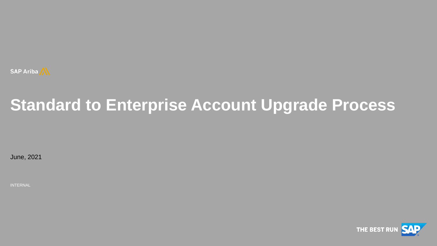

# **Standard to Enterprise Account Upgrade Process**

June, 2021

INTERNAL